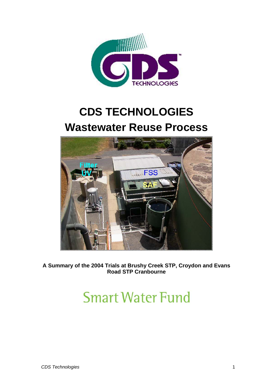

## **CDS TECHNOLOGIES Wastewater Reuse Process**



**A Summary of the 2004 Trials at Brushy Creek STP, Croydon and Evans Road STP Cranbourne** 

# **Smart Water Fund**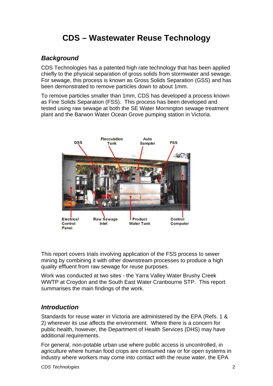## **CDS – Wastewater Reuse Technology**

## *Background*

CDS Technologies has a patented high rate technology that has been applied chiefly to the physical separation of gross solids from stormwater and sewage. For sewage, this process is known as Gross Solids Separation (GSS) and has been demonstrated to remove particles down to about 1mm.

To remove particles smaller than 1mm, CDS has developed a process known as Fine Solids Separation (FSS). This process has been developed and tested using raw sewage at both the SE Water Mornington sewage treatment plant and the Barwon Water Ocean Grove pumping station in Victoria.



This report covers trials involving application of the FSS process to sewer mining by combining it with other downstream processes to produce a high quality effluent from raw sewage for reuse purposes.

Work was conducted at two sites - the Yarra Valley Water Brushy Creek WWTP at Croydon and the South East Water Cranbourne STP. This report summarises the main findings of the work.

## *Introduction*

Standards for reuse water in Victoria are administered by the EPA (Refs. 1 & 2) wherever its use affects the environment. Where there is a concern for public health, however, the Department of Health Services (DHS) may have additional requirements.

For general, non-potable urban use where public access is uncontrolled, in agriculture where human food crops are consumed raw or for open systems in industry where workers may come into contact with the reuse water, the EPA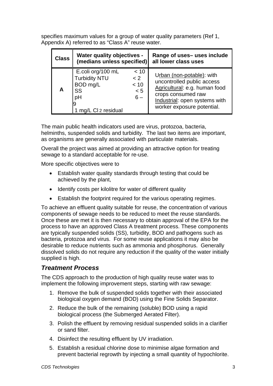specifies maximum values for a group of water quality parameters (Ref 1, Appendix A) referred to as "Class A" reuse water.

| <b>Class</b> | <b>Water quality objectives -</b><br>(medians unless specified)                         |                                     | Range of uses- uses include<br>all lower class uses                                                                                                                           |
|--------------|-----------------------------------------------------------------------------------------|-------------------------------------|-------------------------------------------------------------------------------------------------------------------------------------------------------------------------------|
| A            | E.coli org/100 mL<br><b>Turbidity NTU</b><br>BOD mg/L<br>SS<br>pH<br>mg/L CI 2 residual | < 10<br>< 2<br>< 10<br>< 5<br>$6 -$ | Urban (non-potable): with<br>uncontrolled public access<br>Agricultural: e.g. human food<br>crops consumed raw<br>Industrial: open systems with<br>worker exposure potential. |

The main public health indicators used are virus, protozoa, bacteria, helminths, suspended solids and turbidity. The last two items are important, as organisms are generally associated with particulate materials.

Overall the project was aimed at providing an attractive option for treating sewage to a standard acceptable for re-use.

More specific objectives were to

- Establish water quality standards through testing that could be achieved by the plant,
- Identify costs per kilolitre for water of different quality
- Establish the footprint required for the various operating regimes.

To achieve an effluent quality suitable for reuse, the concentration of various components of sewage needs to be reduced to meet the reuse standards. Once these are met it is then necessary to obtain approval of the EPA for the process to have an approved Class A treatment process. These components are typically suspended solids (SS), turbidity, BOD and pathogens such as bacteria, protozoa and virus. For some reuse applications it may also be desirable to reduce nutrients such as ammonia and phosphorus. Generally dissolved solids do not require any reduction if the quality of the water initially supplied is high.

## *Treatment Process*

The CDS approach to the production of high quality reuse water was to implement the following improvement steps, starting with raw sewage:

- 1. Remove the bulk of suspended solids together with their associated biological oxygen demand (BOD) using the Fine Solids Separator.
- 2. Reduce the bulk of the remaining (soluble) BOD using a rapid biological process (the Submerged Aerated Filter).
- 3. Polish the effluent by removing residual suspended solids in a clarifier or sand filter.
- 4. Disinfect the resulting effluent by UV irradiation.
- 5. Establish a residual chlorine dose to minimise algae formation and prevent bacterial regrowth by injecting a small quantity of hypochlorite.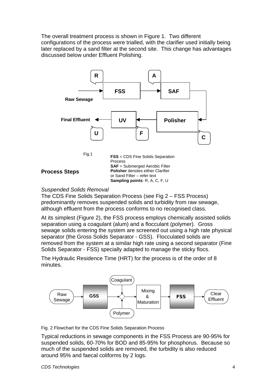The overall treatment process is shown in Figure 1. Two different configurations of the process were trialled, with the clarifier used initially being later replaced by a sand filter at the second site. This change has advantages discussed below under Effluent Polishing.



#### *Suspended Solids Removal*

The CDS Fine Solids Separation Process (see Fig 2 – FSS Process) predominantly removes suspended solids and turbidity from raw sewage, although effluent from the process conforms to no recognised class.

At its simplest (Figure 2), the FSS process employs chemically assisted solids separation using a coagulant (alum) and a flocculant (polymer). Gross sewage solids entering the system are screened out using a high rate physical separator (the Gross Solids Separator - GSS). Flocculated solids are removed from the system at a similar high rate using a second separator (Fine Solids Separator - FSS) specially adapted to manage the sticky flocs.

The Hydraulic Residence Time (HRT) for the process is of the order of 8 minutes.



Fig. 2 Flowchart for the CDS Fine Solids Separation Process

Typical reductions in sewage components in the FSS Process are 90-95% for suspended solids, 60-70% for BOD and 85-95% for phosphorus. Because so much of the suspended solids are removed, the turbidity is also reduced around 95% and faecal coliforms by 2 logs.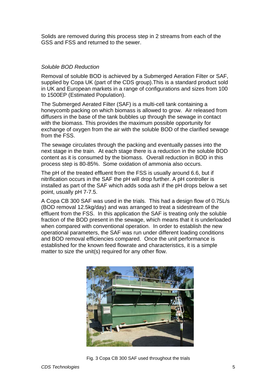Solids are removed during this process step in 2 streams from each of the GSS and FSS and returned to the sewer.

#### *Soluble BOD Reduction*

Removal of soluble BOD is achieved by a Submerged Aeration Filter or SAF, supplied by Copa UK (part of the CDS group).This is a standard product sold in UK and European markets in a range of configurations and sizes from 100 to 1500EP (Estimated Population).

The Submerged Aerated Filter (SAF) is a multi-cell tank containing a honeycomb packing on which biomass is allowed to grow. Air released from diffusers in the base of the tank bubbles up through the sewage in contact with the biomass. This provides the maximum possible opportunity for exchange of oxygen from the air with the soluble BOD of the clarified sewage from the FSS.

The sewage circulates through the packing and eventually passes into the next stage in the train. At each stage there is a reduction in the soluble BOD content as it is consumed by the biomass. Overall reduction in BOD in this process step is 80-85%. Some oxidation of ammonia also occurs.

The pH of the treated effluent from the FSS is usually around 6.6, but if nitrification occurs in the SAF the pH will drop further. A pH controller is installed as part of the SAF which adds soda ash if the pH drops below a set point, usually pH 7-7.5.

A Copa CB 300 SAF was used in the trials. This had a design flow of 0.75L/s (BOD removal 12.5kg/day) and was arranged to treat a sidestream of the effluent from the FSS. In this application the SAF is treating only the soluble fraction of the BOD present in the sewage, which means that it is underloaded when compared with conventional operation. In order to establish the new operational parameters, the SAF was run under different loading conditions and BOD removal efficiencies compared. Once the unit performance is established for the known feed flowrate and characteristics, it is a simple matter to size the unit(s) required for any other flow.



Fig. 3 Copa CB 300 SAF used throughout the trials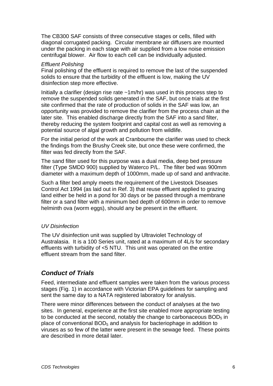The CB300 SAF consists of three consecutive stages or cells, filled with diagonal corrugated packing. Circular membrane air diffusers are mounted under the packing in each stage with air supplied from a low noise emission centrifugal blower. Air flow to each cell can be individually adjusted.

#### *Effluent Polishing*

Final polishing of the effluent is required to remove the last of the suspended solids to ensure that the turbidity of the effluent is low, making the UV disinfection step more effective.

Initially a clarifier (design rise rate ~1m/hr) was used in this process step to remove the suspended solids generated in the SAF, but once trials at the first site confirmed that the rate of production of solids in the SAF was low, an opportunity was provided to remove the clarifier from the process chain at the later site. This enabled discharge directly from the SAF into a sand filter, thereby reducing the system footprint and capital cost as well as removing a potential source of algal growth and pollution from wildlife.

For the initial period of the work at Cranbourne the clarifier was used to check the findings from the Brushy Creek site, but once these were confirmed, the filter was fed directly from the SAF.

The sand filter used for this purpose was a dual media, deep bed pressure filter (Type SMDD 900) supplied by Waterco P/L. The filter bed was 900mm diameter with a maximum depth of 1000mm, made up of sand and anthracite.

Such a filter bed amply meets the requirement of the Livestock Diseases Control Act 1994 (as laid out in Ref. 3) that reuse effluent applied to grazing land either be held in a pond for 30 days or be passed through a membrane filter or a sand filter with a minimum bed depth of 600mm in order to remove helminth ova (worm eggs), should any be present in the effluent.

#### *UV Disinfection*

The UV disinfection unit was supplied by Ultraviolet Technology of Australasia. It is a 100 Series unit, rated at a maximum of 4L/s for secondary effluents with turbidity of <5 NTU. This unit was operated on the entire effluent stream from the sand filter.

### *Conduct of Trials*

Feed, intermediate and effluent samples were taken from the various process stages (Fig. 1) in accordance with Victorian EPA guidelines for sampling and sent the same day to a NATA registered laboratory for analysis.

There were minor differences between the conduct of analyses at the two sites. In general, experience at the first site enabled more appropriate testing to be conducted at the second, notably the change to carbonaceous  $BOD<sub>5</sub>$  in place of conventional  $BOD<sub>5</sub>$  and analysis for bacteriophage in addition to viruses as so few of the latter were present in the sewage feed. These points are described in more detail later.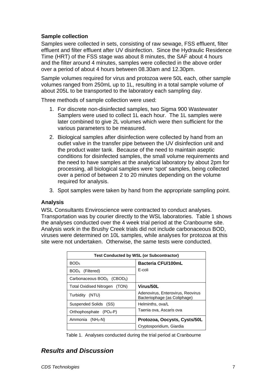#### **Sample collection**

Samples were collected in sets, consisting of raw sewage, FSS effluent, filter effluent and filter effluent after UV disinfection. Since the Hydraulic Residence Time (HRT) of the FSS stage was about 8 minutes, the SAF about 4 hours and the filter around 4 minutes, samples were collected in the above order over a period of about 4 hours between 08.30am and 12.30pm.

Sample volumes required for virus and protozoa were 50L each, other sample volumes ranged from 250mL up to 1L, resulting in a total sample volume of about 205L to be transported to the laboratory each sampling day.

Three methods of sample collection were used:

- 1. For discrete non-disinfected samples, two Sigma 900 Wastewater Samplers were used to collect 1L each hour. The 1L samples were later combined to give 2L volumes which were then sufficient for the various parameters to be measured.
- 2. Biological samples after disinfection were collected by hand from an outlet valve in the transfer pipe between the UV disinfection unit and the product water tank. Because of the need to maintain aseptic conditions for disinfected samples, the small volume requirements and the need to have samples at the analytical laboratory by about 2pm for processing, all biological samples were 'spot' samples, being collected over a period of between 2 to 20 minutes depending on the volume required for analysis.
- 3. Spot samples were taken by hand from the appropriate sampling point.

#### **Analysis**

WSL Consultants Enviroscience were contracted to conduct analyses. Transportation was by courier directly to the WSL laboratories. Table 1 shows the analyses conducted over the 4 week trial period at the Cranbourne site. Analysis work in the Brushy Creek trials did not include carbonaceous BOD, viruses were determined on 10L samples, while analyses for protozoa at this site were not undertaken. Otherwise, the same tests were conducted.

| <b>Test Conducted by WSL (or Subcontractor)</b>                   |  |  |  |  |
|-------------------------------------------------------------------|--|--|--|--|
| Bacteria CFU/100mL                                                |  |  |  |  |
| E-coli                                                            |  |  |  |  |
|                                                                   |  |  |  |  |
| Virus/50L                                                         |  |  |  |  |
| Adenovirus, Enterovirus, Reovirus<br>Bacteriophage (as Coliphage) |  |  |  |  |
| Helminths, ova/L                                                  |  |  |  |  |
| Taenia ova, Ascaris ova                                           |  |  |  |  |
| Protozoa, Oocysts, Cysts/50L<br>Cryptosporidium, Giardia          |  |  |  |  |
|                                                                   |  |  |  |  |

Table 1. Analyses conducted during the trial period at Cranbourne

## *Results and Discussion*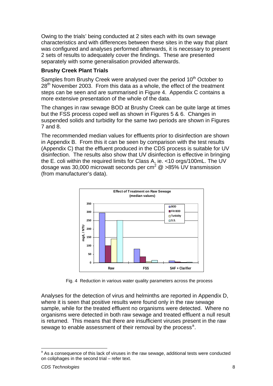<span id="page-7-0"></span>Owing to the trials' being conducted at 2 sites each with its own sewage characteristics and with differences between these sites in the way that plant was configured and analyses performed afterwards, it is necessary to present 2 sets of results to adequately cover the findings. These are presented separately with some generalisation provided afterwards.

#### **Brushy Creek Plant Trials**

Samples from Brushy Creek were analysed over the period 10<sup>th</sup> October to  $28<sup>th</sup>$  November 2003. From this data as a whole, the effect of the treatment steps can be seen and are summarised in Figure 4. Appendix C contains a more extensive presentation of the whole of the data.

The changes in raw sewage BOD at Brushy Creek can be quite large at times but the FSS process coped well as shown in Figures 5 & 6. Changes in suspended solids and turbidity for the same two periods are shown in Figures 7 and 8.

The recommended median values for effluents prior to disinfection are shown in Appendix B. From this it can be seen by comparison with the test results (Appendix C) that the effluent produced in the CDS process is suitable for UV disinfection. The results also show that UV disinfection is effective in bringing the E. coli within the required limits for Class A, ie. <10 orgs/100mL. The UV dosage was 30,000 microwatt seconds per cm<sup>2</sup>  $@>85\%$  UV transmission (from manufacturer's data).



Fig. 4 Reduction in various water quality parameters across the process

Analyses for the detection of virus and helminths are reported in Appendix D, where it is seen that positive results were found only in the raw sewage sample, while for the treated effluent no organisms were detected. Where no organisms were detected in both raw sewage and treated effluent a null result is returned. This means that there are insufficient viruses present in the raw sew[a](#page-7-0)ge to enable assessment of their removal by the process<sup>a</sup>.

 $\overline{a}$ 

<sup>&</sup>lt;sup>a</sup> As a consequence of this lack of viruses in the raw sewage, additional tests were conducted on coliphages in the second trial – refer text.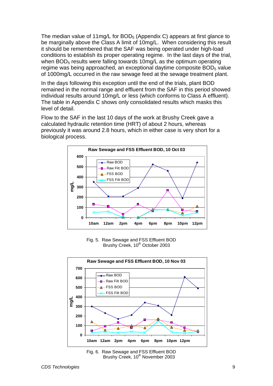The median value of  $11 \text{mg/L}$  for  $BOD_5$  (Appendix C) appears at first glance to be marginally above the Class A limit of 10mg/L. When considering this result it should be remembered that the SAF was being operated under high-load conditions to establish its proper operating regime. In the last days of the trial, when BOD<sub>5</sub> results were falling towards 10mg/L as the optimum operating regime was being approached, an exceptional daytime composite BOD<sub>5</sub> value of 1000mg/L occurred in the raw sewage feed at the sewage treatment plant.

In the days following this exception until the end of the trials, plant BOD remained in the normal range and effluent from the SAF in this period showed individual results around 10mg/L or less (which conforms to Class A effluent). The table in Appendix C shows only consolidated results which masks this level of detail.

Flow to the SAF in the last 10 days of the work at Brushy Creek gave a calculated hydraulic retention time (HRT) of about 2 hours, whereas previously it was around 2.8 hours, which in either case is very short for a biological process.



Fig. 5. Raw Sewage and FSS Effluent BOD Brushy Creek, 10<sup>th</sup> October 2003



Fig. 6. Raw Sewage and FSS Effluent BOD Brushy Creek, 10<sup>th</sup> November 2003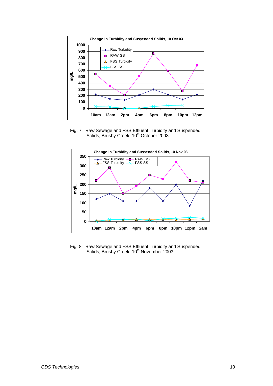

Fig. 7. Raw Sewage and FSS Effluent Turbidity and Suspended Solids, Brushy Creek, 10<sup>th</sup> October 2003



Fig. 8. Raw Sewage and FSS Effluent Turbidity and Suspended Solids, Brushy Creek, 10<sup>th</sup> November 2003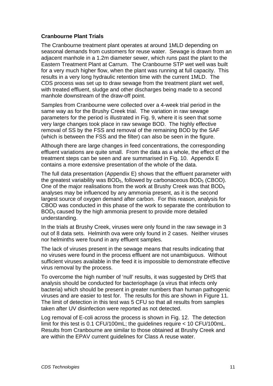#### **Cranbourne Plant Trials**

The Cranbourne treatment plant operates at around 1MLD depending on seasonal demands from customers for reuse water. Sewage is drawn from an adjacent manhole in a 1.2m diameter sewer, which runs past the plant to the Eastern Treatment Plant at Carrum. The Cranbourne STP wet well was built for a very much higher flow, when the plant was running at full capacity. This results in a very long hydraulic retention time with the current 1MLD. The CDS process was set up to draw sewage from the treatment plant wet well, with treated effluent, sludge and other discharges being made to a second manhole downstream of the draw-off point.

Samples from Cranbourne were collected over a 4-week trial period in the same way as for the Brushy Creek trial. The variation in raw sewage parameters for the period is illustrated in Fig. 9, where it is seen that some very large changes took place in raw sewage BOD. The highly effective removal of SS by the FSS and removal of the remaining BOD by the SAF (which is between the FSS and the filter) can also be seen in the figure.

Although there are large changes in feed concentrations, the corresponding effluent variations are quite small. From the data as a whole, the effect of the treatment steps can be seen and are summarised in Fig. 10. Appendix E contains a more extensive presentation of the whole of the data.

The full data presentation (Appendix E) shows that the effluent parameter with the greatest variability was  $BOD<sub>5</sub>$ , followed by carbonaceous  $BOD<sub>5</sub>$  (CBOD). One of the major realisations from the work at Brushy Creek was that BOD<sub>5</sub> analyses may be influenced by any ammonia present, as it is the second largest source of oxygen demand after carbon. For this reason, analysis for CBOD was conducted in this phase of the work to separate the contribution to BOD<sub>5</sub> caused by the high ammonia present to provide more detailed understanding.

In the trials at Brushy Creek, viruses were only found in the raw sewage in 3 out of 8 data sets. Helminth ova were only found in 2 cases. Neither viruses nor helminths were found in any effluent samples.

The lack of viruses present in the sewage means that results indicating that no viruses were found in the process effluent are not unambiguous. Without sufficient viruses available in the feed it is impossible to demonstrate effective virus removal by the process.

To overcome the high number of 'null' results, it was suggested by DHS that analysis should be conducted for bacteriophage (a virus that infects only bacteria) which should be present in greater numbers than human pathogenic viruses and are easier to test for. The results for this are shown in Figure 11. The limit of detection in this test was 5 CFU so that all results from samples taken after UV disinfection were reported as not detected.

Log removal of E-coli across the process is shown in Fig. 12. The detection limit for this test is 0.1 CFU/100mL; the guidelines require < 10 CFU/100mL. Results from Cranbourne are similar to those obtained at Brushy Creek and are within the EPAV current guidelines for Class A reuse water.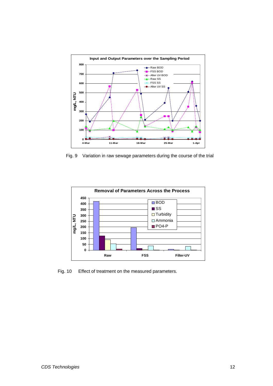

Fig. 9 Variation in raw sewage parameters during the course of the trial



Fig. 10 Effect of treatment on the measured parameters.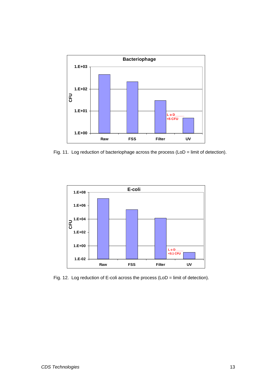

Fig. 11. Log reduction of bacteriophage across the process (LoD = limit of detection).



Fig. 12. Log reduction of E-coli across the process (LoD = limit of detection).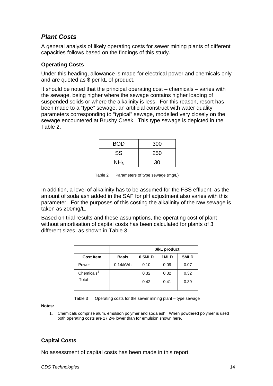## *Plant Costs*

A general analysis of likely operating costs for sewer mining plants of different capacities follows based on the findings of this study.

#### **Operating Costs**

Under this heading, allowance is made for electrical power and chemicals only and are quoted as \$ per kL of product.

It should be noted that the principal operating cost – chemicals – varies with the sewage, being higher where the sewage contains higher loading of suspended solids or where the alkalinity is less. For this reason, resort has been made to a "type" sewage, an artificial construct with water quality parameters corresponding to "typical" sewage, modelled very closely on the sewage encountered at Brushy Creek. This type sewage is depicted in the Table 2.

| <b>BOD</b>      | 300 |
|-----------------|-----|
| <b>SS</b>       | 250 |
| NH <sub>3</sub> | 30  |

Table 2 Parameters of type sewage (mg/L)

In addition, a level of alkalinity has to be assumed for the FSS effluent, as the amount of soda ash added in the SAF for pH adjustment also varies with this parameter. For the purposes of this costing the alkalinity of the raw sewage is taken as 200mg/L.

Based on trial results and these assumptions, the operating cost of plant without amortisation of capital costs has been calculated for plants of 3 different sizes, as shown in Table 3.

|                  |              | \$/kL product |      |      |  |  |
|------------------|--------------|---------------|------|------|--|--|
| <b>Cost Item</b> | <b>Basis</b> | 0.5MLD        | 1MLD | 5MLD |  |  |
| Power            | $0.14$ /kWh  | 0.10          | 0.09 | 0.07 |  |  |
| Chemicals $1$    |              | 0.32          | 0.32 | 0.32 |  |  |
| Total            |              | 0.42          | 0.41 | 0.39 |  |  |

Table 3 Operating costs for the sewer mining plant – type sewage

**Notes:**

1. Chemicals comprise alum, emulsion polymer and soda ash. When powdered polymer is used both operating costs are 17.2% lower than for emulsion shown here.

## **Capital Costs**

No assessment of capital costs has been made in this report.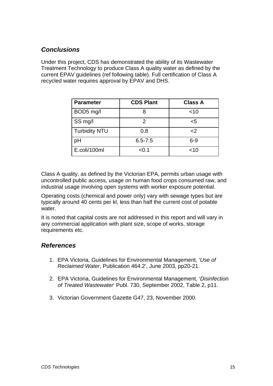## *Conclusions*

Under this project, CDS has demonstrated the ability of its Wastewater Treatment Technology to produce Class A quality water as defined by the current EPAV guidelines (ref following table). Full certification of Class A recycled water requires approval by EPAV and DHS.

| <b>Parameter</b>     | <b>CDS Plant</b> | <b>Class A</b> |
|----------------------|------------------|----------------|
| BOD5 mg/l            |                  | $<$ 10         |
| SS mg/l              |                  | <5             |
| <b>Turbidity NTU</b> | 0.8              | <              |
| pН                   | $6.5 - 7.5$      | $6-9$          |
| E.coli/100ml         | < 0.1            | $<$ 10         |

Class A quality, as defined by the Victorian EPA, permits urban usage with uncontrolled public access, usage on human food crops consumed raw, and industrial usage involving open systems with worker exposure potential.

Operating costs (chemical and power only) vary with sewage types but are typically around 40 cents per kl, less than half the current cost of potable water.

It is noted that capital costs are not addressed in this report and will vary in any commercial application with plant size, scope of works, storage requirements etc.

#### *References*

- 1. EPA Victoria, Guidelines for Environmental Management, '*Use of Reclaimed Water*, Publication 464.2', June 2003, pp20-21.
- 2. EPA Victoria, Guidelines for Environmental Management, '*Disinfection of Treated Wastewater*' Publ. 730, September 2002, Table 2, p11.
- 3. Victorian Government Gazette G47, 23, November 2000.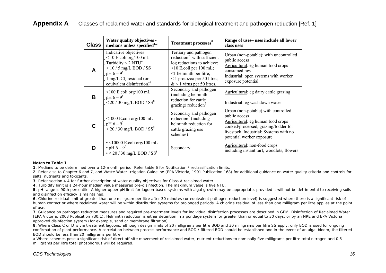## **Appendix A** Classes of reclaimed water and standards for biological treatment and pathogen reduction [Ref. 1]

| <b>Class</b> | Water quality objectives -<br>medians unless specified $1,2$                                                                                                                                               | Treatment processes <sup>a</sup>                                                                                                                                                                                                | Range of uses-uses include all lower<br>class uses                                                                                                                                                      |
|--------------|------------------------------------------------------------------------------------------------------------------------------------------------------------------------------------------------------------|---------------------------------------------------------------------------------------------------------------------------------------------------------------------------------------------------------------------------------|---------------------------------------------------------------------------------------------------------------------------------------------------------------------------------------------------------|
| A            | Indicative objectives<br>$<$ 10 E.coli org/100 mL<br>Turbidity $\leq 2$ NTU <sup>4</sup><br>$<$ 10 / 5 mg/L BOD / SS<br>$pH 6 - 9^5$<br>1 mg/L $Cl2$ residual (or<br>equivalent disinfection) <sup>6</sup> | Tertiary and pathogen<br>reduction <sup>7</sup> with sufficient<br>log reductions to achieve:<br>$\leq$ 10 E.coli per 100 mL;<br>$\leq$ 1 helminth per litre;<br>$\leq$ 1 protozoa per 50 litres;<br>$< 1$ virus per 50 litres. | Urban (non-potable): with uncontrolled<br>public access<br>Agricultural: eg human food crops<br>consumed raw<br>Industrial: open systems with worker<br>exposure potential.                             |
| B            | $\leq$ 100 E.coli org/100 mL<br>$pH 6 - 9^5$<br>$< 20 / 30$ mg/L BOD / SS <sup>8</sup>                                                                                                                     | Secondary and pathogen<br>(including helminth<br>reduction for cattle<br>grazing) reduction $^7$                                                                                                                                | Agricultural: eg dairy cattle grazing<br>Industrial: eg washdown water                                                                                                                                  |
| С            | $\leq$ 1000 E.coli org/100 mL<br>$pH 6 - 9^5$<br>$< 20 / 30$ mg/L BOD / SS <sup>8</sup>                                                                                                                    | Secondary and pathogen<br>reduction <sup>7</sup> (including<br>helminth reduction for<br>cattle grazing use<br>schemes)                                                                                                         | Urban (non-potable) with controlled<br>public access<br>Agricultural: eg human food crops<br>cooked/processed, grazing/fodder for<br>livestock Industrial: Systems with no<br>potential worker exposure |
| D            | $\cdot$ <10000 E.coli org/100 mL<br>• pH $6 - 9^5$<br>$\cdot$ < 20 / 30 mg/L BOD / SS <sup>8</sup>                                                                                                         | Secondary                                                                                                                                                                                                                       | Agricultural: non-food crops<br>including instant turf, woodlots, flowers                                                                                                                               |

#### *Notes to Table 1*

**1**. Medians to be determined over a 12-month period. Refer table 6 for Notification / reclassification limits.

**2**. Refer also to Chapter 6 and 7, and Waste Water Irrigation Guideline (EPA Victoria, 1991 Publication 168) for additional guidance on water quality criteria and controls for salts, nutrients and toxicants.

**3**. Refer section 4.4 for further description of water quality objectives for Class A reclaimed water.

**4**. Turbidity limit is a 24-hour median value measured pre-disinfection. The maximum value is five NTU.

**5**. pH range is 90th percentile. A higher upper pH limit for lagoon-based systems with algal growth may be appropriate, provided it will not be detrimental to receiving soils and disinfection efficacy is maintained.

**6**. Chlorine residual limit of greater than one milligram per litre after 30 minutes (or equivalent pathogen reduction level) is suggested where there is a significant risk of human contact or where reclaimed water will be within distribution systems for prolonged periods. A chlorine residual of less than one milligram per litre applies at the point of use.

**7**. Guidance on pathogen reduction measures and required pre-treatment levels for individual disinfection processes are described in *GEM: Disinfection of Reclaimed Water*  (EPA Victoria, 2003 Publication 730.1). Helminth reduction is either detention in a pondage system for greater than or equal to 30 days, or by an NRE and EPA Victoria approved disinfection system (for example, sand or membrane filtration).

**8**. Where Class C or D is via treatment lagoons, although design limits of 20 milligrams per litre BOD and 30 milligrams per litre SS apply, only BOD is used for ongoing confirmation of plant performance. A correlation between process performance and BOD / filtered BOD should be established and in the event of an algal bloom, the filtered BOD should be less than 20 milligrams per litre.

a Where schemes pose a significant risk of direct off-site movement of reclaimed water, nutrient reductions to nominally five milligrams per litre total nitrogen and 0.5 milligrams per litre total phosphorous will be required.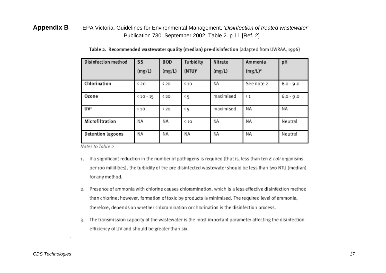## **Appendix B** EPA Victoria, Guidelines for Environmental Management, '*Disinfection of treated wastewater*' Publication 730, September 2002, Table 2. p 11 [Ref. 2]

| Disinfection method | SS         | <b>BOD</b> | Turbidity           | Nitrate   | Ammonia     | pH          |
|---------------------|------------|------------|---------------------|-----------|-------------|-------------|
|                     | (mg/L)     | (mg/L)     | (NTU) <sup>2</sup>  | (mg/L)    | $(mg/L)^2$  |             |
| Chlorination        | <b>420</b> | $20$       | $\left( 10 \right)$ | NA        | See note 2  | $6.0 - 9.0$ |
| Ozone               | $40 - 15$  | $20$       | ٢5                  | maximised | $\langle 1$ | $6.0 - 9.0$ |
| UVB                 | $10$       | < 20       | <b>‹ 5</b>          | maximised | ΝA          | ΝA          |
| Microfiltration     | ΝA         | ΝA         | $\left( 10 \right)$ | NA        | ΝA          | Neutral     |
| Detention lagoons   | ΝA         | ΝA         | ΝA                  | NA        | ΝA          | Neutral     |

Table 2. Recommended wastewater quality (median) pre-disinfection (adapted from UWRAA, 1996)

Notes to Table 2

- 1. If a significant reduction in the number of pathogens is required (that is, less than ten E. coli organisms per 100 millilitres), the turbidity of the pre-disinfected wastewater should be less than two NTU (median) for any method.
- 2. Presence of ammonia with chlorine causes chloramination, which is a less effective disinfection method than chlorine; however, formation of toxic by-products is minimised. The required level of ammonia, therefore, depends on whether chloramination or chlorination is the disinfection process.
- 3. The transmission capacity of the wastewater is the most important parameter affecting the disinfection efficiency of UV and should be greater than six.

.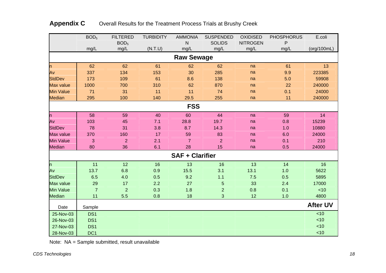|                  | BOD <sub>5</sub> | <b>FILTERED</b>  | <b>TURBIDITY</b> | <b>AMMONIA</b>         | <b>SUSPENDED</b> | <b>OXIDISED</b> | <b>PHOSPHORUS</b> | E.coli          |
|------------------|------------------|------------------|------------------|------------------------|------------------|-----------------|-------------------|-----------------|
|                  |                  | BOD <sub>5</sub> |                  | N                      | <b>SOLIDS</b>    | <b>NITROGEN</b> | P                 |                 |
|                  | mg/L             | mg/L             | (N.T.U)          | mg/L                   | mg/L             | mg/L            | mg/L              | (org/100mL)     |
|                  |                  |                  |                  | <b>Raw Sewage</b>      |                  |                 |                   |                 |
| h                | 62               | 62               | 61               | 62                     | 62               | na              | 61                | 13              |
| Av               | 337              | 134              | 153              | 30                     | 285              | na              | 9.9               | 223385          |
| <b>StdDev</b>    | 173              | 109              | 61               | 8.6                    | 138              | na              | 5.0               | 59908           |
| <b>Max value</b> | 1000             | 700              | 310              | 62                     | 870              | na              | 22                | 240000          |
| <b>Min Value</b> | 71               | 31               | 11               | 11                     | 74               | na              | 0.1               | 24000           |
| <b>Median</b>    | 295              | 100              | 140              | 29.5                   | 255              | na              | 11                | 240000          |
|                  |                  |                  |                  | <b>FSS</b>             |                  |                 |                   |                 |
| h                | 58               | 59               | 40               | 60                     | 44               | na              | 59                | 14              |
| Av               | 103              | 45               | 7.1              | 28.8                   | 19.7             | na              | 0.8               | 15239           |
| <b>StdDev</b>    | 78               | 31               | 3.8              | 8.7                    | 14.3             | na              | 1.0               | 10880           |
| Max value        | 370              | 160              | 17               | 59                     | 83               | na              | 6.0               | 24000           |
| <b>Min Value</b> | 3                | $\overline{2}$   | 2.1              | $\overline{7}$         | $\overline{2}$   | na              | 0.1               | 210             |
| <b>Median</b>    | 80               | 36               | 6.1              | 28                     | 15               | na              | 0.5               | 24000           |
|                  |                  |                  |                  | <b>SAF + Clarifier</b> |                  |                 |                   |                 |
| $\mathsf{h}$     | 11               | 12               | 16               | 13                     | 16               | 13              | 14                | 16              |
| Av               | 13.7             | 6.8              | 0.9              | 15.5                   | 3.1              | 13.1            | 1.0               | 5622            |
| <b>StdDev</b>    | 6.5              | 4.0              | 0.5              | 9.2                    | $1.1$            | 7.5             | 0.5               | 5895            |
| Max value        | 29               | 17               | 2.2              | 27                     | 5                | 33              | 2.4               | 17000           |
| <b>Min Value</b> | $\overline{7}$   | $\overline{2}$   | 0.3              | 1.8                    | $\overline{2}$   | 0.8             | 0.1               | ~10             |
| <b>Median</b>    | 11               | 5.5              | 0.8              | 18                     | 3                | 12              | 1.0               | 4800            |
| Date             | Sample           |                  |                  |                        |                  |                 |                   | <b>After UV</b> |
| 25-Nov-03        | DS <sub>1</sub>  |                  |                  |                        |                  |                 |                   | < 10            |
| 26-Nov-03        | DS <sub>1</sub>  |                  |                  |                        |                  |                 |                   | < 10            |
| 27-Nov-03        | DS1              |                  |                  |                        |                  |                 |                   | < 10            |
| 28-Nov-03        | DC <sub>1</sub>  |                  |                  |                        |                  |                 |                   | < 10            |

## Appendix C **Overall Results for the Treatment Process Trials at Brushy Creek**

Note: NA = Sample submitted, result unavailable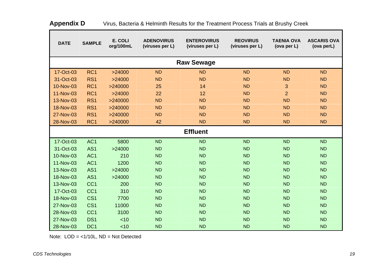| <b>DATE</b> | <b>SAMPLE</b>   | E. COLI<br>org/100mL | <b>ADENOVIRUS</b><br>(viruses per L) | <b>ENTEROVIRUS</b><br>(viruses per L) | <b>REOVIRUS</b><br>(viruses per L) | <b>TAENIA OVA</b><br>(ova per L) | <b>ASCARIS OVA</b><br>(ova perL) |
|-------------|-----------------|----------------------|--------------------------------------|---------------------------------------|------------------------------------|----------------------------------|----------------------------------|
|             |                 |                      |                                      | <b>Raw Sewage</b>                     |                                    |                                  |                                  |
| 17-Oct-03   | RC <sub>1</sub> | >24000               | <b>ND</b>                            | <b>ND</b>                             | <b>ND</b>                          | <b>ND</b>                        | <b>ND</b>                        |
| 31-Oct-03   | RS <sub>1</sub> | >24000               | <b>ND</b>                            | <b>ND</b>                             | <b>ND</b>                          | <b>ND</b>                        | <b>ND</b>                        |
| 10-Nov-03   | RC <sub>1</sub> | >240000              | 25                                   | 14                                    | <b>ND</b>                          | 3                                | <b>ND</b>                        |
| 11-Nov-03   | RC <sub>1</sub> | >24000               | 22                                   | 12                                    | <b>ND</b>                          | $\overline{2}$                   | <b>ND</b>                        |
| 13-Nov-03   | RS <sub>1</sub> | >240000              | <b>ND</b>                            | <b>ND</b>                             | <b>ND</b>                          | <b>ND</b>                        | <b>ND</b>                        |
| 18-Nov-03   | RS <sub>1</sub> | >240000              | <b>ND</b>                            | <b>ND</b>                             | <b>ND</b>                          | <b>ND</b>                        | <b>ND</b>                        |
| 27-Nov-03   | RS <sub>1</sub> | >240000              | <b>ND</b>                            | <b>ND</b>                             | <b>ND</b>                          | <b>ND</b>                        | <b>ND</b>                        |
| 28-Nov-03   | RC <sub>1</sub> | >240000              | 42                                   | <b>ND</b>                             | <b>ND</b>                          | <b>ND</b>                        | <b>ND</b>                        |
|             |                 |                      |                                      | <b>Effluent</b>                       |                                    |                                  |                                  |
| 17-Oct-03   | AC <sub>1</sub> | 5800                 | <b>ND</b>                            | <b>ND</b>                             | <b>ND</b>                          | <b>ND</b>                        | <b>ND</b>                        |
| 31-Oct-03   | AS <sub>1</sub> | >24000               | <b>ND</b>                            | <b>ND</b>                             | <b>ND</b>                          | <b>ND</b>                        | <b>ND</b>                        |
| 10-Nov-03   | AC <sub>1</sub> | 210                  | <b>ND</b>                            | <b>ND</b>                             | <b>ND</b>                          | <b>ND</b>                        | <b>ND</b>                        |
| 11-Nov-03   | AC <sub>1</sub> | 1200                 | <b>ND</b>                            | <b>ND</b>                             | <b>ND</b>                          | <b>ND</b>                        | <b>ND</b>                        |
| 13-Nov-03   | AS <sub>1</sub> | >24000               | <b>ND</b>                            | <b>ND</b>                             | <b>ND</b>                          | <b>ND</b>                        | <b>ND</b>                        |
| 18-Nov-03   | AS <sub>1</sub> | >24000               | <b>ND</b>                            | <b>ND</b>                             | <b>ND</b>                          | <b>ND</b>                        | <b>ND</b>                        |
| 13-Nov-03   | CC <sub>1</sub> | 200                  | <b>ND</b>                            | <b>ND</b>                             | <b>ND</b>                          | <b>ND</b>                        | <b>ND</b>                        |
| 17-Oct-03   | CC <sub>1</sub> | 310                  | <b>ND</b>                            | <b>ND</b>                             | <b>ND</b>                          | <b>ND</b>                        | <b>ND</b>                        |
| 18-Nov-03   | CS <sub>1</sub> | 7700                 | <b>ND</b>                            | <b>ND</b>                             | <b>ND</b>                          | <b>ND</b>                        | <b>ND</b>                        |
| 27-Nov-03   | CS <sub>1</sub> | 11000                | <b>ND</b>                            | <b>ND</b>                             | <b>ND</b>                          | <b>ND</b>                        | <b>ND</b>                        |
| 28-Nov-03   | CC <sub>1</sub> | 3100                 | <b>ND</b>                            | <b>ND</b>                             | <b>ND</b>                          | <b>ND</b>                        | <b>ND</b>                        |
| 27-Nov-03   | DS <sub>1</sub> | < 10                 | <b>ND</b>                            | <b>ND</b>                             | <b>ND</b>                          | <b>ND</b>                        | <b>ND</b>                        |
| 28-Nov-03   | DC <sub>1</sub> | < 10                 | <b>ND</b>                            | <b>ND</b>                             | <b>ND</b>                          | <b>ND</b>                        | <b>ND</b>                        |

| Appendix D | Virus, Bacteria & Helminth Results for the Treatment Process Trials at Brushy Creek |
|------------|-------------------------------------------------------------------------------------|
|------------|-------------------------------------------------------------------------------------|

Note: LOD = <1/10L, ND = Not Detected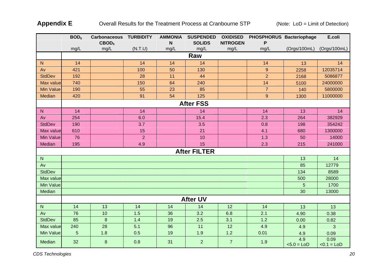Appendix E **Overall Results for the Treatment Process at Cranbourne STP** (Note: LoD = Limit of Detection)

|                  | BOD <sub>5</sub> | <b>Carbonaceous TURBIDITY</b> |                | <b>AMMONIA</b> | <b>SUSPENDED</b>    | <b>OXIDISED</b> | PHOSPHORUS Bacteriophage |                      | E.coli                |  |
|------------------|------------------|-------------------------------|----------------|----------------|---------------------|-----------------|--------------------------|----------------------|-----------------------|--|
|                  |                  | CBOD <sub>5</sub>             |                | N              | <b>SOLIDS</b>       | <b>NITROGEN</b> |                          |                      |                       |  |
|                  | mg/L             | mg/L                          | (N.T.U)        | mg/L           | mg/L                | mg/L            | mg/L                     | (Orgs/100mL)         | (Orgs/100mL)          |  |
|                  | Raw              |                               |                |                |                     |                 |                          |                      |                       |  |
| ${\sf N}$        | 14               |                               | 14             | 14             | 14                  |                 | 14                       | 13                   | 14                    |  |
| Av               | 421              |                               | 100            | 50             | 130                 |                 | $9$                      | 2258                 | 12035714              |  |
| <b>StdDev</b>    | 192              |                               | 28             | 11             | 44                  |                 | $\overline{2}$           | 2168                 | 5086877               |  |
| Max value        | 740              |                               | 150            | 64             | 240                 |                 | 14                       | 5100                 | 24000000              |  |
| <b>Min Value</b> | 190              |                               | 55             | 23             | 85                  |                 | $\overline{7}$           | 140                  | 5800000               |  |
| Median           | 420              |                               | 91             | 54             | 125                 |                 | $\boldsymbol{9}$         | 1300                 | 11000000              |  |
|                  |                  |                               |                |                | <b>After FSS</b>    |                 |                          |                      |                       |  |
| ${\bf N}$        | 14               |                               | 14             |                | 14                  |                 | 14                       | 13                   | 14                    |  |
| Av               | 254              |                               | 6.0            |                | 15.4                |                 | 2.3                      | 264                  | 382929                |  |
| <b>StdDev</b>    | 190              |                               | 3.7            |                | 3.5                 |                 | 0.8                      | 198                  | 354242                |  |
| Max value        | 610              |                               | 15             |                | 21                  |                 | 4.1                      | 680                  | 1300000               |  |
| <b>Min Value</b> | 76               |                               | $\overline{2}$ |                | 10                  |                 | 1.3                      | 50                   | 14000                 |  |
| Median           | 195              |                               | 4.9            |                | 15                  |                 | 2.3                      | 215                  | 241000                |  |
|                  |                  |                               |                |                | <b>After FILTER</b> |                 |                          |                      |                       |  |
| ${\sf N}$        |                  |                               |                |                |                     |                 |                          | 13                   | 14                    |  |
| Av               |                  |                               |                |                |                     |                 |                          | 85                   | 12779                 |  |
| <b>StdDev</b>    |                  |                               |                |                |                     |                 |                          | 134                  | 8589                  |  |
| Max value        |                  |                               |                |                |                     |                 |                          | 500                  | 28000                 |  |
| Min Value        |                  |                               |                |                |                     |                 |                          | $\overline{5}$       | 1700                  |  |
| Median           |                  |                               |                |                |                     |                 |                          | 30                   | 13000                 |  |
|                  |                  |                               |                |                | <b>After UV</b>     |                 |                          |                      |                       |  |
| ${\sf N}$        | 14               | 13                            | 14             | 14             | 14                  | 12              | 14                       | 13                   | 13                    |  |
| Av               | 76               | 10                            | 1.5            | 36             | 3.2                 | 6.8             | 2.1                      | 4.90                 | 0.38                  |  |
| <b>StdDev</b>    | 85               | $\boldsymbol{8}$              | 1.4            | 19             | 2.5                 | 3.1             | 1.2                      | 0.00                 | 0.82                  |  |
| Max value        | 240              | 28                            | 5.1            | 96             | 11                  | 12              | 4.9                      | 4.9                  | 3                     |  |
| Min Value        | $\overline{5}$   | 1.8                           | 0.5            | 19             | 1.9                 | $1.2$           | 0.01                     | 4.9                  | 0.09                  |  |
| Median           | 32               | $\boldsymbol{8}$              | 0.8            | 31             | $\overline{2}$      | $\overline{7}$  | 1.9                      | 4.9<br>$< 5.0 =$ LoD | 0.09<br>$< 0.1 = L0D$ |  |